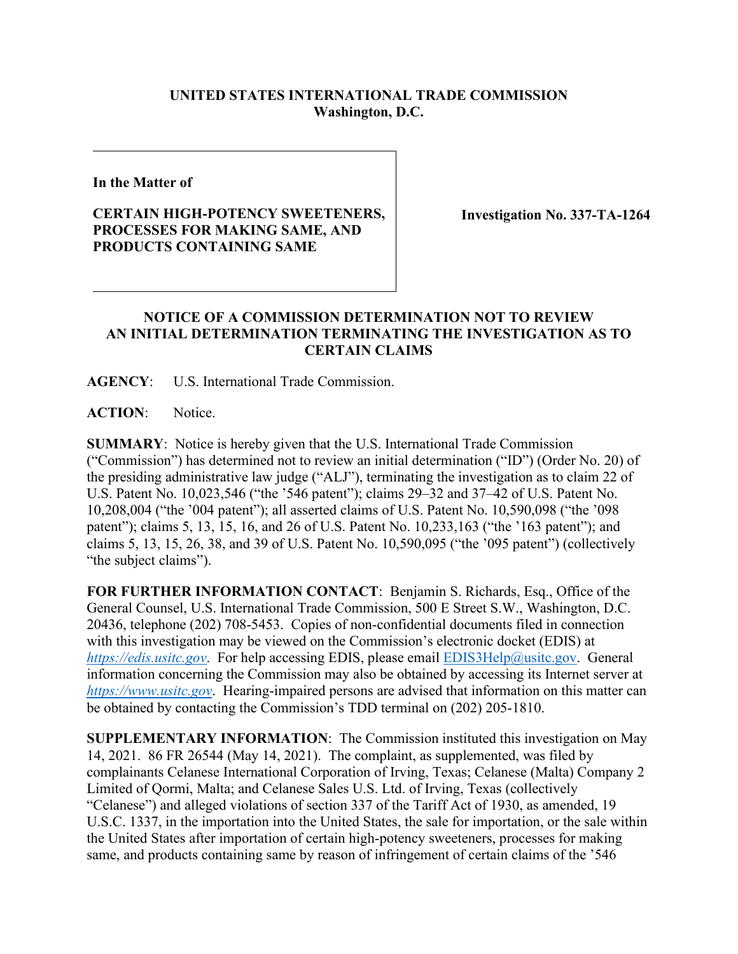## **UNITED STATES INTERNATIONAL TRADE COMMISSION Washington, D.C.**

**In the Matter of**

## **CERTAIN HIGH-POTENCY SWEETENERS, PROCESSES FOR MAKING SAME, AND PRODUCTS CONTAINING SAME**

**Investigation No. 337-TA-1264**

## **NOTICE OF A COMMISSION DETERMINATION NOT TO REVIEW AN INITIAL DETERMINATION TERMINATING THE INVESTIGATION AS TO CERTAIN CLAIMS**

**AGENCY**: U.S. International Trade Commission.

**ACTION**: Notice.

**SUMMARY**: Notice is hereby given that the U.S. International Trade Commission ("Commission") has determined not to review an initial determination ("ID") (Order No. 20) of the presiding administrative law judge ("ALJ"), terminating the investigation as to claim 22 of U.S. Patent No. 10,023,546 ("the '546 patent"); claims 29–32 and 37–42 of U.S. Patent No. 10,208,004 ("the '004 patent"); all asserted claims of U.S. Patent No. 10,590,098 ("the '098 patent"); claims 5, 13, 15, 16, and 26 of U.S. Patent No. 10,233,163 ("the '163 patent"); and claims 5, 13, 15, 26, 38, and 39 of U.S. Patent No. 10,590,095 ("the '095 patent") (collectively "the subject claims").

**FOR FURTHER INFORMATION CONTACT**: Benjamin S. Richards, Esq., Office of the General Counsel, U.S. International Trade Commission, 500 E Street S.W., Washington, D.C. 20436, telephone (202) 708-5453. Copies of non-confidential documents filed in connection with this investigation may be viewed on the Commission's electronic docket (EDIS) at *[https://edis.usitc.gov](https://edis.usitc.gov/)*. For help accessing EDIS, please email [EDIS3Help@usitc.gov.](mailto:EDIS3Help@usitc.gov) General information concerning the Commission may also be obtained by accessing its Internet server at *[https://www.usitc.gov](https://www.usitc.gov/)*. Hearing-impaired persons are advised that information on this matter can be obtained by contacting the Commission's TDD terminal on (202) 205-1810.

**SUPPLEMENTARY INFORMATION**: The Commission instituted this investigation on May 14, 2021. 86 FR 26544 (May 14, 2021). The complaint, as supplemented, was filed by complainants Celanese International Corporation of Irving, Texas; Celanese (Malta) Company 2 Limited of Qormi, Malta; and Celanese Sales U.S. Ltd. of Irving, Texas (collectively "Celanese") and alleged violations of section 337 of the Tariff Act of 1930, as amended, 19 U.S.C. 1337, in the importation into the United States, the sale for importation, or the sale within the United States after importation of certain high-potency sweeteners, processes for making same, and products containing same by reason of infringement of certain claims of the '546